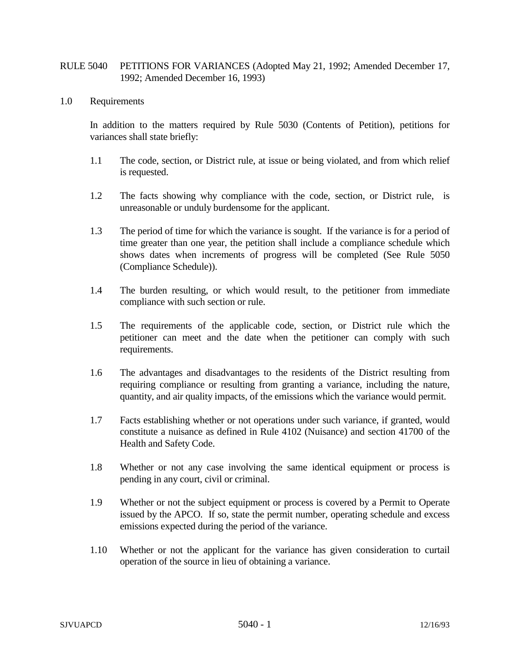## RULE 5040 PETITIONS FOR VARIANCES (Adopted May 21, 1992; Amended December 17, 1992; Amended December 16, 1993)

## 1.0 Requirements

In addition to the matters required by Rule 5030 (Contents of Petition), petitions for variances shall state briefly:

- 1.1 The code, section, or District rule, at issue or being violated, and from which relief is requested.
- 1.2 The facts showing why compliance with the code, section, or District rule, is unreasonable or unduly burdensome for the applicant.
- 1.3 The period of time for which the variance is sought. If the variance is for a period of time greater than one year, the petition shall include a compliance schedule which shows dates when increments of progress will be completed (See Rule 5050 (Compliance Schedule)).
- 1.4 The burden resulting, or which would result, to the petitioner from immediate compliance with such section or rule.
- 1.5 The requirements of the applicable code, section, or District rule which the petitioner can meet and the date when the petitioner can comply with such requirements.
- 1.6 The advantages and disadvantages to the residents of the District resulting from requiring compliance or resulting from granting a variance, including the nature, quantity, and air quality impacts, of the emissions which the variance would permit.
- 1.7 Facts establishing whether or not operations under such variance, if granted, would constitute a nuisance as defined in Rule 4102 (Nuisance) and section 41700 of the Health and Safety Code.
- 1.8 Whether or not any case involving the same identical equipment or process is pending in any court, civil or criminal.
- 1.9 Whether or not the subject equipment or process is covered by a Permit to Operate issued by the APCO. If so, state the permit number, operating schedule and excess emissions expected during the period of the variance.
- 1.10 Whether or not the applicant for the variance has given consideration to curtail operation of the source in lieu of obtaining a variance.